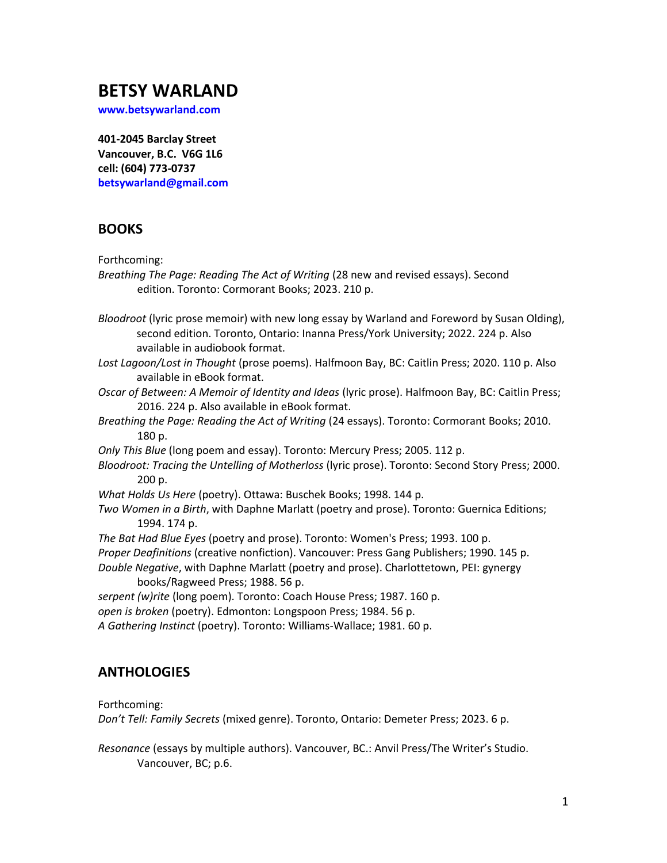# **BETSY WARLAND**

**[www.betsywarland.com](http://www.betsywarland.com/)**

**401-2045 Barclay Street Vancouver, B.C. V6G 1L6 cell: (604) 773-0737 [betsywarland@gmail.com](mailto:betsywarland@gmail.com)**

## **BOOKS**

Forthcoming:

| Breathing The Page: Reading The Act of Writing (28 new and revised essays). Second |  |
|------------------------------------------------------------------------------------|--|
| edition. Toronto: Cormorant Books; 2023. 210 p.                                    |  |

*Bloodroot* (lyric prose memoir) with new long essay by Warland and Foreword by Susan Olding), second edition. Toronto, Ontario: Inanna Press/York University; 2022. 224 p. Also available in audiobook format.

*Lost Lagoon/Lost in Thought* (prose poems). Halfmoon Bay, BC: Caitlin Press; 2020. 110 p. Also available in eBook format.

*Oscar of Between: A Memoir of Identity and Ideas* (lyric prose). Halfmoon Bay, BC: Caitlin Press; 2016. 224 p. Also available in eBook format.

*Breathing the Page: Reading the Act of Writing* (24 essays). Toronto: Cormorant Books; 2010. 180 p.

*Only This Blue* (long poem and essay). Toronto: Mercury Press; 2005. 112 p.

*Bloodroot: Tracing the Untelling of Motherloss* (lyric prose). Toronto: Second Story Press; 2000. 200 p.

*What Holds Us Here* (poetry). Ottawa: Buschek Books; 1998. 144 p.

*Two Women in a Birth*, with Daphne Marlatt (poetry and prose). Toronto: Guernica Editions; 1994. 174 p.

*The Bat Had Blue Eyes* (poetry and prose). Toronto: Women's Press; 1993. 100 p. *Proper Deafinitions* (creative nonfiction). Vancouver: Press Gang Publishers; 1990. 145 p. *Double Negative*, with Daphne Marlatt (poetry and prose). Charlottetown, PEI: gynergy books/Ragweed Press; 1988. 56 p.

*serpent (w)rite* (long poem). Toronto: Coach House Press; 1987. 160 p.

*open is broken* (poetry). Edmonton: Longspoon Press; 1984. 56 p.

*A Gathering Instinct* (poetry). Toronto: Williams-Wallace; 1981. 60 p.

## **ANTHOLOGIES**

Forthcoming:

*Don't Tell: Family Secrets* (mixed genre). Toronto, Ontario: Demeter Press; 2023. 6 p.

*Resonance* (essays by multiple authors). Vancouver, BC.: Anvil Press/The Writer's Studio. Vancouver, BC; p.6.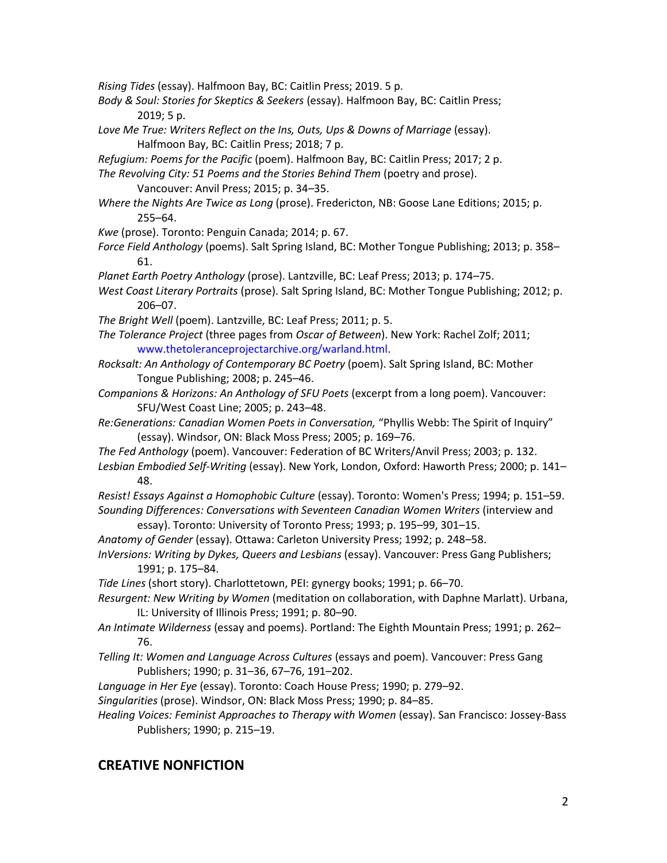*Rising Tides* (essay). Halfmoon Bay, BC: Caitlin Press; 2019. 5 p.

- *Body & Soul: Stories for Skeptics & Seekers* (essay). Halfmoon Bay, BC: Caitlin Press; 2019; 5 p.
- Love Me True: Writers Reflect on the Ins, Outs, Ups & Downs of Marriage (essay). Halfmoon Bay, BC: Caitlin Press; 2018; 7 p.
- *Refugium: Poems for the Pacific* (poem). Halfmoon Bay, BC: Caitlin Press; 2017; 2 p.
- *The Revolving City: 51 Poems and the Stories Behind Them* (poetry and prose).
	- Vancouver: Anvil Press; 2015; p. 34–35.
- *Where the Nights Are Twice as Long* (prose). Fredericton, NB: Goose Lane Editions; 2015; p. 255–64.
- *Kwe* (prose). Toronto: Penguin Canada; 2014; p. 67.
- *Force Field Anthology* (poems). Salt Spring Island, BC: Mother Tongue Publishing; 2013; p. 358– 61.
- *Planet Earth Poetry Anthology* (prose). Lantzville, BC: Leaf Press; 2013; p. 174–75.
- *West Coast Literary Portraits* (prose). Salt Spring Island, BC: Mother Tongue Publishing; 2012; p. 206–07.
- *The Bright Well* (poem). Lantzville, BC: Leaf Press; 2011; p. 5.
- *The Tolerance Project* (three pages from *Oscar of Between*). New York: Rachel Zolf; 2011; [www.thetoleranceprojectarchive.org/warland.html.](http://www.thetoleranceprojectarchive.org/warland.html)
- *Rocksalt: An Anthology of Contemporary BC Poetry* (poem). Salt Spring Island, BC: Mother Tongue Publishing; 2008; p. 245–46.
- *Companions & Horizons: An Anthology of SFU Poets* (excerpt from a long poem). Vancouver: SFU/West Coast Line; 2005; p. 243–48.
- *Re:Generations: Canadian Women Poets in Conversation,* "Phyllis Webb: The Spirit of Inquiry" (essay). Windsor, ON: Black Moss Press; 2005; p. 169–76.
- *The Fed Anthology* (poem). Vancouver: Federation of BC Writers/Anvil Press; 2003; p. 132. *Lesbian Embodied Self-Writing* (essay). New York, London, Oxford: Haworth Press; 2000; p. 141–
- 48.
- *Resist! Essays Against a Homophobic Culture* (essay). Toronto: Women's Press; 1994; p. 151–59. Sounding Differences: Conversations with Seventeen Canadian Women Writers (interview and essay). Toronto: University of Toronto Press; 1993; p. 195–99, 301–15.
- *Anatomy of Gender* (essay). Ottawa: Carleton University Press; 1992; p. 248–58.
- *InVersions: Writing by Dykes, Queers and Lesbians (essay). Vancouver: Press Gang Publishers;* 1991; p. 175–84.
- *Tide Lines* (short story). Charlottetown, PEI: gynergy books; 1991; p. 66–70.
- *Resurgent: New Writing by Women* (meditation on collaboration, with Daphne Marlatt). Urbana, IL: University of Illinois Press; 1991; p. 80–90.
- *An Intimate Wilderness* (essay and poems). Portland: The Eighth Mountain Press; 1991; p. 262– 76.
- *Telling It: Women and Language Across Cultures* (essays and poem). Vancouver: Press Gang Publishers; 1990; p. 31–36, 67–76, 191–202.
- *Language in Her Eye* (essay). Toronto: Coach House Press; 1990; p. 279–92.
- *Singularities* (prose). Windsor, ON: Black Moss Press; 1990; p. 84–85.
- *Healing Voices: Feminist Approaches to Therapy with Women* (essay). San Francisco: Jossey-Bass Publishers; 1990; p. 215–19.

### **CREATIVE NONFICTION**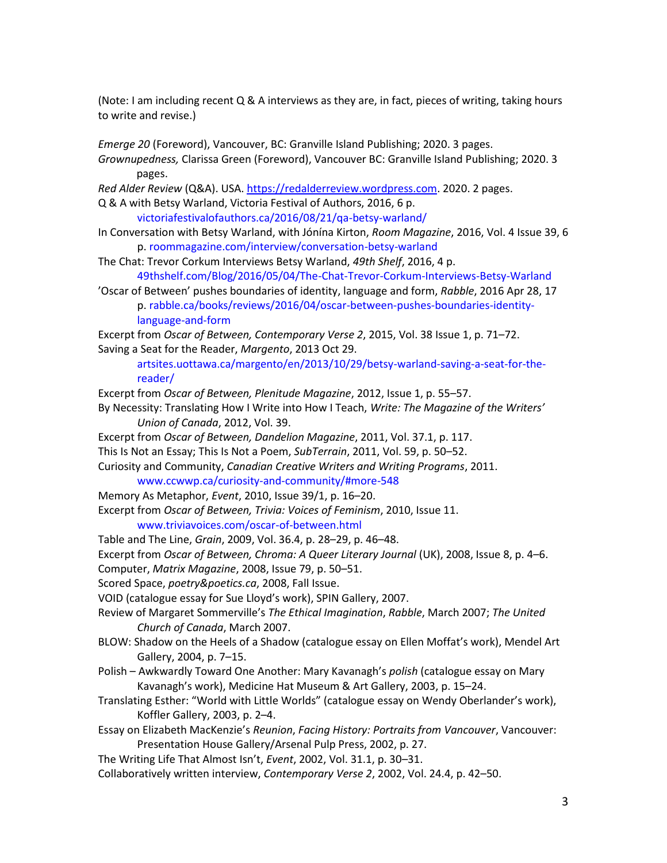(Note: I am including recent Q & A interviews as they are, in fact, pieces of writing, taking hours to write and revise.)

*Emerge 20* (Foreword), Vancouver, BC: Granville Island Publishing; 2020. 3 pages.

*Grownupedness,* Clarissa Green (Foreword), Vancouver BC: Granville Island Publishing; 2020. 3 pages.

*Red Alder Review* (Q&A). USA[. https://redalderreview.wordpress.com.](https://redalderreview.wordpress.com/) 2020. 2 pages.

Q & A with Betsy Warland, Victoria Festival of Authors, 2016, 6 p.

[victoriafestivalofauthors.ca/2016/08/21/qa-betsy-warland/](http://victoriafestivalofauthors.ca/2016/08/21/qa-betsy-warland/)

In Conversation with Betsy Warland, with Jónína Kirton, *Room Magazine*, 2016, Vol. 4 Issue 39, 6 p. [roommagazine.com/interview/conversation-betsy-warland](http://roommagazine.com/interview/conversation-betsy-warland)

The Chat: Trevor Corkum Interviews Betsy Warland, *49th Shelf*, 2016, 4 p.

[49thshelf.com/Blog/2016/05/04/The-Chat-Trevor-Corkum-Interviews-Betsy-Warland](https://49thshelf.com/Blog/2016/05/04/The-Chat-Trevor-Corkum-Interviews-Betsy-Warland)

'Oscar of Between' pushes boundaries of identity, language and form, *Rabble*, 2016 Apr 28, 17 p. [rabble.ca/books/reviews/2016/04/oscar-between-pushes-boundaries-identity](http://rabble.ca/books/reviews/2016/04/oscar-between-pushes-boundaries-identity-language-and-form)[language-and-form](http://rabble.ca/books/reviews/2016/04/oscar-between-pushes-boundaries-identity-language-and-form)

Excerpt from *Oscar of Between, Contemporary Verse 2*, 2015, Vol. 38 Issue 1, p. 71–72. Saving a Seat for the Reader, *Margento*, 2013 Oct 29.

[artsites.uottawa.ca/margento/en/2013/10/29/betsy-warland-saving-a-seat-for-the](http://artsites.uottawa.ca/margento/en/2013/10/29/betsy-warland-saving-a-seat-for-the-reader/)[reader/](http://artsites.uottawa.ca/margento/en/2013/10/29/betsy-warland-saving-a-seat-for-the-reader/)

Excerpt from *Oscar of Between, Plenitude Magazine*, 2012, Issue 1, p. 55–57.

- By Necessity: Translating How I Write into How I Teach, *Write: The Magazine of the Writers' Union of Canada*, 2012, Vol. 39.
- Excerpt from *Oscar of Between, Dandelion Magazine*, 2011, Vol. 37.1, p. 117.

This Is Not an Essay; This Is Not a Poem, *SubTerrain*, 2011, Vol. 59, p. 50–52.

Curiosity and Community, *Canadian Creative Writers and Writing Programs*, 2011.

#### [www.ccwwp.ca/curiosity-and-community/#more-548](http://www.ccwwp.ca/curiosity-and-community/#more-548)

Memory As Metaphor, *Event*, 2010, Issue 39/1, p. 16–20.

Excerpt from *Oscar of Between, Trivia: Voices of Feminism*, 2010, Issue 11. [www.triviavoices.com/oscar-of-between.html](http://www.triviavoices.com/oscar-of-between.html)

Table and The Line, *Grain*, 2009, Vol. 36.4, p. 28–29, p. 46–48.

Excerpt from *Oscar of Between, Chroma: A Queer Literary Journal* (UK), 2008, Issue 8, p. 4–6.

Computer, *Matrix Magazine*, 2008, Issue 79, p. 50–51.

Scored Space, *poetry&poetics.ca*, 2008, Fall Issue.

VOID (catalogue essay for Sue Lloyd's work), SPIN Gallery, 2007.

- Review of Margaret Sommerville's *The Ethical Imagination*, *Rabble*, March 2007; *The United Church of Canada*, March 2007.
- BLOW: Shadow on the Heels of a Shadow (catalogue essay on Ellen Moffat's work), Mendel Art Gallery, 2004, p. 7–15.
- Polish Awkwardly Toward One Another: Mary Kavanagh's *polish* (catalogue essay on Mary Kavanagh's work), Medicine Hat Museum & Art Gallery, 2003, p. 15–24.
- Translating Esther: "World with Little Worlds" (catalogue essay on Wendy Oberlander's work), Koffler Gallery, 2003, p. 2–4.

Essay on Elizabeth MacKenzie's *Reunion*, *Facing History: Portraits from Vancouver*, Vancouver: Presentation House Gallery/Arsenal Pulp Press, 2002, p. 27.

The Writing Life That Almost Isn't, *Event*, 2002, Vol. 31.1, p. 30*–*31.

Collaboratively written interview, *Contemporary Verse 2*, 2002, Vol. 24.4, p. 42–50.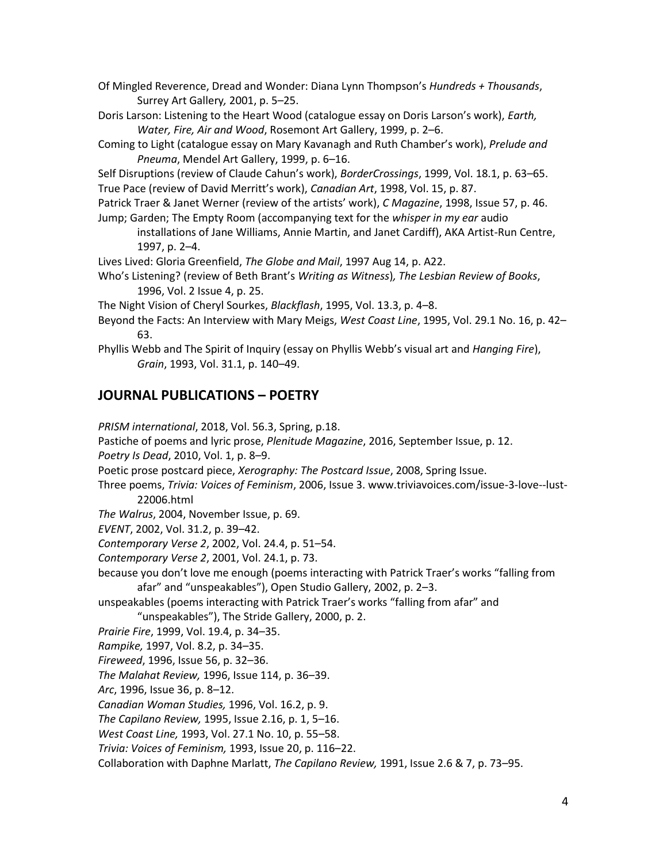Of Mingled Reverence, Dread and Wonder: Diana Lynn Thompson's *Hundreds + Thousands*, Surrey Art Gallery*,* 2001, p. 5–25.

Doris Larson: Listening to the Heart Wood (catalogue essay on Doris Larson's work), *Earth, Water, Fire, Air and Wood*, Rosemont Art Gallery, 1999, p. 2–6.

Coming to Light (catalogue essay on Mary Kavanagh and Ruth Chamber's work), *Prelude and Pneuma*, Mendel Art Gallery, 1999, p. 6–16.

Self Disruptions (review of Claude Cahun's work), *BorderCrossings*, 1999, Vol. 18.1, p. 63–65. True Pace (review of David Merritt's work), *Canadian Art*, 1998, Vol. 15, p. 87.

Patrick Traer & Janet Werner (review of the artists' work), *C Magazine*, 1998, Issue 57, p. 46. Jump; Garden; The Empty Room (accompanying text for the *whisper in my ear* audio

installations of Jane Williams, Annie Martin, and Janet Cardiff), AKA Artist-Run Centre, 1997, p. 2–4.

Lives Lived: Gloria Greenfield, *The Globe and Mail*, 1997 Aug 14, p. A22.

Who's Listening? (review of Beth Brant's *Writing as Witness*)*, The Lesbian Review of Books*, 1996, Vol. 2 Issue 4, p. 25.

The Night Vision of Cheryl Sourkes, *Blackflash*, 1995, Vol. 13.3, p. 4–8.

Beyond the Facts: An Interview with Mary Meigs, *West Coast Line*, 1995, Vol. 29.1 No. 16, p. 42– 63.

Phyllis Webb and The Spirit of Inquiry (essay on Phyllis Webb's visual art and *Hanging Fire*), *Grain*, 1993, Vol. 31.1, p. 140–49.

### **JOURNAL PUBLICATIONS – POETRY**

*PRISM international*, 2018, Vol. 56.3, Spring, p.18.

Pastiche of poems and lyric prose, *Plenitude Magazine*, 2016, September Issue, p. 12.

*Poetry Is Dead*, 2010, Vol. 1, p. 8–9.

Poetic prose postcard piece, *Xerography: The Postcard Issue*, 2008, Spring Issue.

Three poems, *Trivia: Voices of Feminism*, 2006, Issue 3. www.triviavoices.com/issue-3-love--lust-22006.html

*The Walrus*, 2004, November Issue, p. 69.

*EVENT*, 2002, Vol. 31.2, p. 39–42.

*Contemporary Verse 2*, 2002, Vol. 24.4, p. 51–54.

*Contemporary Verse 2*, 2001, Vol. 24.1, p. 73.

because you don't love me enough (poems interacting with Patrick Traer's works "falling from afar" and "unspeakables"), Open Studio Gallery, 2002, p. 2–3.

unspeakables (poems interacting with Patrick Traer's works "falling from afar" and

"unspeakables"), The Stride Gallery, 2000, p. 2.

*Prairie Fire*, 1999, Vol. 19.4, p. 34–35.

*Rampike,* 1997, Vol. 8.2, p. 34–35.

*Fireweed*, 1996, Issue 56, p. 32–36.

*The Malahat Review,* 1996, Issue 114, p. 36–39.

*Arc*, 1996, Issue 36, p. 8–12.

*Canadian Woman Studies,* 1996, Vol. 16.2, p. 9.

*The Capilano Review,* 1995, Issue 2.16, p. 1, 5–16.

*West Coast Line,* 1993, Vol. 27.1 No. 10, p. 55–58.

*Trivia: Voices of Feminism,* 1993, Issue 20, p. 116–22.

Collaboration with Daphne Marlatt, *The Capilano Review,* 1991, Issue 2.6 & 7, p. 73–95.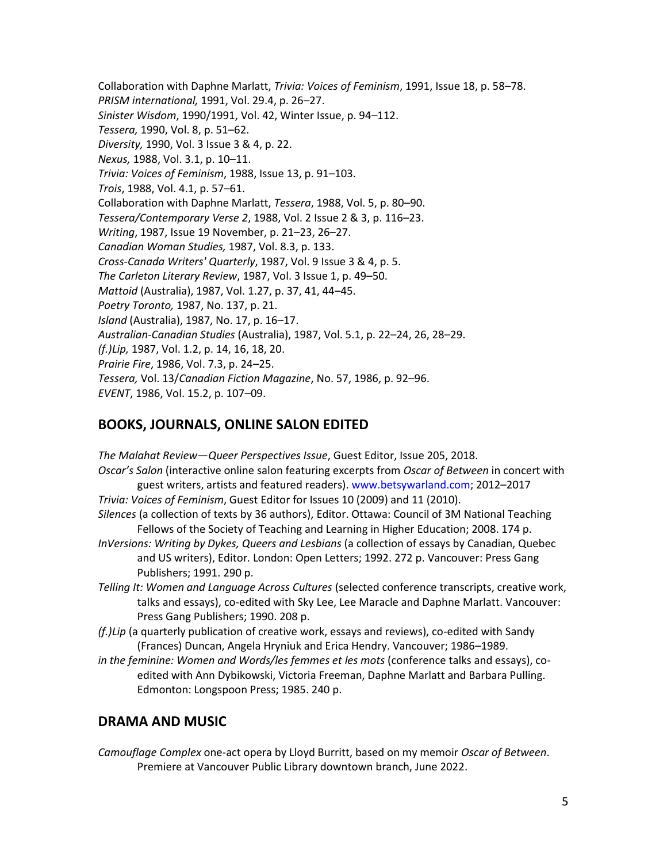Collaboration with Daphne Marlatt, *Trivia: Voices of Feminism*, 1991, Issue 18, p. 58–78. *PRISM international,* 1991, Vol. 29.4, p. 26–27. *Sinister Wisdom*, 1990/1991, Vol. 42, Winter Issue, p. 94–112. *Tessera,* 1990, Vol. 8, p. 51–62. *Diversity,* 1990, Vol. 3 Issue 3 & 4, p. 22. *Nexus,* 1988, Vol. 3.1, p. 10–11. *Trivia: Voices of Feminism*, 1988, Issue 13, p. 91–103. *Trois*, 1988, Vol. 4.1, p. 57–61. Collaboration with Daphne Marlatt, *Tessera*, 1988, Vol. 5, p. 80–90. *Tessera/Contemporary Verse 2*, 1988, Vol. 2 Issue 2 & 3, p. 116–23. *Writing*, 1987, Issue 19 November, p. 21–23, 26–27. *Canadian Woman Studies,* 1987, Vol. 8.3, p. 133. *Cross-Canada Writers' Quarterly*, 1987, Vol. 9 Issue 3 & 4, p. 5. *The Carleton Literary Review*, 1987, Vol. 3 Issue 1, p. 49–50. *Mattoid* (Australia), 1987, Vol. 1.27, p. 37, 41, 44–45. *Poetry Toronto,* 1987, No. 137, p. 21. *Island* (Australia), 1987, No. 17, p. 16–17. *Australian-Canadian Studies* (Australia), 1987, Vol. 5.1, p. 22–24, 26, 28–29. *(f.)Lip,* 1987, Vol. 1.2, p. 14, 16, 18, 20. *Prairie Fire*, 1986, Vol. 7.3, p. 24–25. *Tessera,* Vol. 13/*Canadian Fiction Magazine*, No. 57, 1986, p. 92–96. *EVENT*, 1986, Vol. 15.2, p. 107–09.

### **BOOKS, JOURNALS, ONLINE SALON EDITED**

*The Malahat Review*—*Queer Perspectives Issue*, Guest Editor, Issue 205, 2018. *Oscar's Salon* (interactive online salon featuring excerpts from *Oscar of Between* in concert with guest writers, artists and featured readers). [www.betsywarland.com;](http://www.betsywarland.com/) 2012–2017 *Trivia: Voices of Feminism*, Guest Editor for Issues 10 (2009) and 11 (2010). *Silences* (a collection of texts by 36 authors), Editor. Ottawa: Council of 3M National Teaching Fellows of the Society of Teaching and Learning in Higher Education; 2008. 174 p. *InVersions: Writing by Dykes, Queers and Lesbians* (a collection of essays by Canadian, Quebec and US writers), Editor*.* London: Open Letters; 1992. 272 p. Vancouver: Press Gang Publishers; 1991. 290 p. *Telling It: Women and Language Across Cultures* (selected conference transcripts, creative work, talks and essays), co-edited with Sky Lee, Lee Maracle and Daphne Marlatt. Vancouver: Press Gang Publishers; 1990. 208 p. *(f.)Lip* (a quarterly publication of creative work, essays and reviews), co-edited with Sandy (Frances) Duncan, Angela Hryniuk and Erica Hendry. Vancouver; 1986–1989. *in the feminine: Women and Words/les femmes et les mots* (conference talks and essays), coedited with Ann Dybikowski, Victoria Freeman, Daphne Marlatt and Barbara Pulling. Edmonton: Longspoon Press; 1985. 240 p.

### **DRAMA AND MUSIC**

*Camouflage Complex* one-act opera by Lloyd Burritt, based on my memoir *Oscar of Between*. Premiere at Vancouver Public Library downtown branch, June 2022.